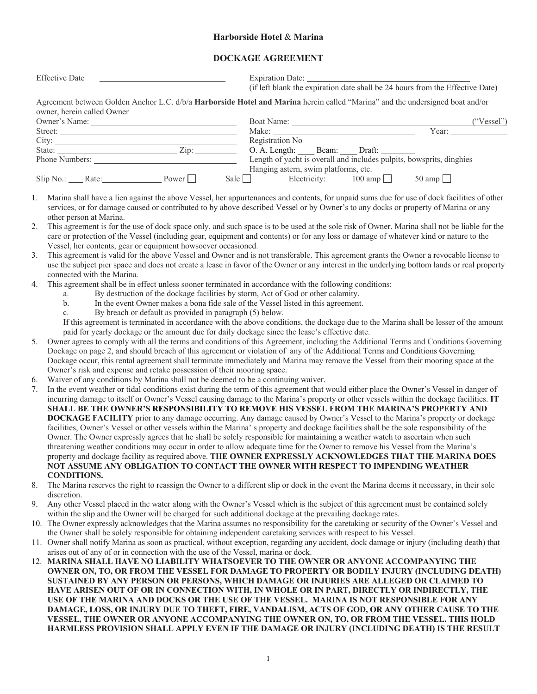## **Harborside Hotel** & **Marina**

## **DOCKAGE AGREEMENT**

| <b>Effective Date</b>                                                                                         |                                                                                                                                                                                                                                                                                                                                                                                                                                                                                                                                                                           |
|---------------------------------------------------------------------------------------------------------------|---------------------------------------------------------------------------------------------------------------------------------------------------------------------------------------------------------------------------------------------------------------------------------------------------------------------------------------------------------------------------------------------------------------------------------------------------------------------------------------------------------------------------------------------------------------------------|
|                                                                                                               | (if left blank the expiration date shall be 24 hours from the Effective Date)                                                                                                                                                                                                                                                                                                                                                                                                                                                                                             |
| owner, herein called Owner                                                                                    | Agreement between Golden Anchor L.C. d/b/a Harborside Hotel and Marina herein called "Marina" and the undersigned boat and/or                                                                                                                                                                                                                                                                                                                                                                                                                                             |
|                                                                                                               | $(*Vessel")$                                                                                                                                                                                                                                                                                                                                                                                                                                                                                                                                                              |
| Street:                                                                                                       | Year:                                                                                                                                                                                                                                                                                                                                                                                                                                                                                                                                                                     |
|                                                                                                               | Registration No                                                                                                                                                                                                                                                                                                                                                                                                                                                                                                                                                           |
|                                                                                                               | O. A. Length: Beam: Draft:                                                                                                                                                                                                                                                                                                                                                                                                                                                                                                                                                |
|                                                                                                               | Length of yacht is overall and includes pulpits, bowsprits, dinghies                                                                                                                                                                                                                                                                                                                                                                                                                                                                                                      |
|                                                                                                               | Hanging astern, swim platforms, etc.                                                                                                                                                                                                                                                                                                                                                                                                                                                                                                                                      |
| $Slip No.:$ Rate: Power                                                                                       | Sale $\Box$ Electricity: $100 \text{ amp } \Box$ 50 amp                                                                                                                                                                                                                                                                                                                                                                                                                                                                                                                   |
| 1.<br>other person at Marina.<br>2.<br>Vessel, her contents, gear or equipment howsoever occasioned.          | Marina shall have a lien against the above Vessel, her appurtenances and contents, for unpaid sums due for use of dock facilities of other<br>services, or for damage caused or contributed to by above described Vessel or by Owner's to any docks or property of Marina or any<br>This agreement is for the use of dock space only, and such space is to be used at the sole risk of Owner. Marina shall not be liable for the<br>care or protection of the Vessel (including gear, equipment and contents) or for any loss or damage of whatever kind or nature to the |
| 3.<br>connected with the Marina.                                                                              | This agreement is valid for the above Vessel and Owner and is not transferable. This agreement grants the Owner a revocable license to<br>use the subject pier space and does not create a lease in favor of the Owner or any interest in the underlying bottom lands or real property                                                                                                                                                                                                                                                                                    |
| This agreement shall be in effect unless sooner terminated in accordance with the following conditions:<br>4. |                                                                                                                                                                                                                                                                                                                                                                                                                                                                                                                                                                           |
| a.                                                                                                            | By destruction of the dockage facilities by storm, Act of God or other calamity.                                                                                                                                                                                                                                                                                                                                                                                                                                                                                          |
| त कर्नाटक नेता है। अन्य का समाजन करने के                                                                      |                                                                                                                                                                                                                                                                                                                                                                                                                                                                                                                                                                           |

- b. In the event Owner makes a bona fide sale of the Vessel listed in this agreement.
- c. By breach or default as provided in paragraph (5) below.

If this agreement is terminated in accordance with the above conditions, the dockage due to the Marina shall be lesser of the amount paid for yearly dockage or the amount due for daily dockage since the lease's effective date.

- 5. Owner agrees to comply with all the terms and conditions of this Agreement, including the Additional Terms and Conditions Governing Dockage on page 2, and should breach of this agreement or violation of any of the Additional Terms and Conditions Governing Dockage occur, this rental agreement shall terminate immediately and Marina may remove the Vessel from their mooring space at the Owner's risk and expense and retake possession of their mooring space.
- 6. Waiver of any conditions by Marina shall not be deemed to be a continuing waiver.
- 7. In the event weather or tidal conditions exist during the term of this agreement that would either place the Owner's Vessel in danger of incurring damage to itself or Owner's Vessel causing damage to the Marina's property or other vessels within the dockage facilities. **IT SHALL BE THE OWNER'S RESPONSIBILITY TO REMOVE HIS VESSEL FROM THE MARINA'S PROPERTY AND DOCKAGE FACILITY** prior to any damage occurring. Any damage caused by Owner's Vessel to the Marina's property or dockage facilities, Owner's Vessel or other vessels within the Marina' s property and dockage facilities shall be the sole responsibility of the Owner. The Owner expressly agrees that he shall be solely responsible for maintaining a weather watch to ascertain when such threatening weather conditions may occur in order to allow adequate time for the Owner to remove his Vessel from the Marina's property and dockage facility as required above. **THE OWNER EXPRESSLY ACKNOWLEDGES THAT THE MARINA DOES NOT ASSUME ANY OBLIGATION TO CONTACT THE OWNER WITH RESPECT TO IMPENDING WEATHER CONDITIONS.**
- 8. The Marina reserves the right to reassign the Owner to a different slip or dock in the event the Marina deems it necessary, in their sole discretion.
- 9. Any other Vessel placed in the water along with the Owner's Vessel which is the subject of this agreement must be contained solely within the slip and the Owner will be charged for such additional dockage at the prevailing dockage rates.
- 10. The Owner expressly acknowledges that the Marina assumes no responsibility for the caretaking or security of the Owner's Vessel and the Owner shall be solely responsible for obtaining independent caretaking services with respect to his Vessel.
- 11. Owner shall notify Marina as soon as practical, without exception, regarding any accident, dock damage or injury (including death) that arises out of any of or in connection with the use of the Vessel, marina or dock.
- 12. **MARINA SHALL HAVE NO LIABILITY WHATSOEVER TO THE OWNER OR ANYONE ACCOMPANYING THE OWNER ON, TO, OR FROM THE VESSEL FOR DAMAGE TO PROPERTY OR BODILY INJURY (INCLUDING DEATH) SUSTAINED BY ANY PERSON OR PERSONS, WHICH DAMAGE OR INJURIES ARE ALLEGED OR CLAIMED TO HAVE ARISEN OUT OF OR IN CONNECTION WITH, IN WHOLE OR IN PART, DIRECTLY OR INDIRECTLY, THE USE OF THE MARINA AND DOCKS OR THE USE OF THE VESSEL. MARINA IS NOT RESPONSIBLE FOR ANY DAMAGE, LOSS, OR INJURY DUE TO THEFT, FIRE, VANDALISM, ACTS OF GOD, OR ANY OTHER CAUSE TO THE VESSEL, THE OWNER OR ANYONE ACCOMPANYING THE OWNER ON, TO, OR FROM THE VESSEL. THIS HOLD HARMLESS PROVISION SHALL APPLY EVEN IF THE DAMAGE OR INJURY (INCLUDING DEATH) IS THE RESULT**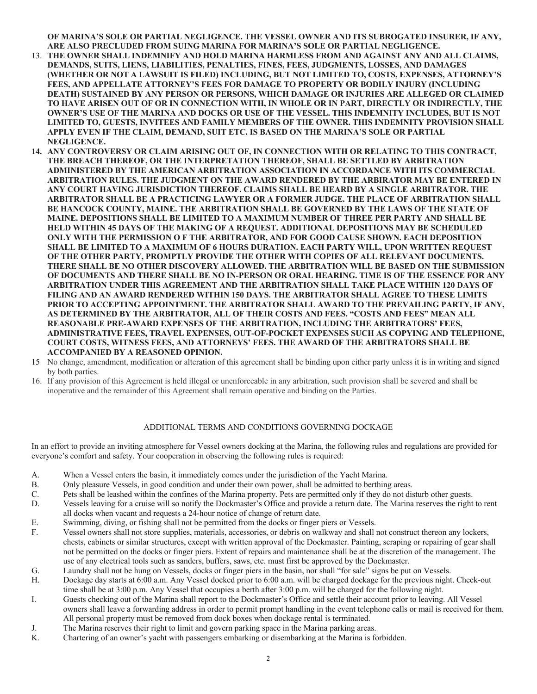**OF MARINA'S SOLE OR PARTIAL NEGLIGENCE. THE VESSEL OWNER AND ITS SUBROGATED INSURER, IF ANY, ARE ALSO PRECLUDED FROM SUING MARINA FOR MARINA'S SOLE OR PARTIAL NEGLIGENCE.**

- 13. **THE OWNER SHALL INDEMNIFY AND HOLD MARINA HARMLESS FROM AND AGAINST ANY AND ALL CLAIMS, DEMANDS, SUITS, LIENS, LIABILITIES, PENALTIES, FINES, FEES, JUDGMENTS, LOSSES, AND DAMAGES (WHETHER OR NOT A LAWSUIT IS FILED) INCLUDING, BUT NOT LIMITED TO, COSTS, EXPENSES, ATTORNEY'S FEES, AND APPELLATE ATTORNEY'S FEES FOR DAMAGE TO PROPERTY OR BODILY INJURY (INCLUDING DEATH) SUSTAINED BY ANY PERSON OR PERSONS, WHICH DAMAGE OR INJURIES ARE ALLEGED OR CLAIMED TO HAVE ARISEN OUT OF OR IN CONNECTION WITH, IN WHOLE OR IN PART, DIRECTLY OR INDIRECTLY, THE OWNER'S USE OF THE MARINA AND DOCKS OR USE OF THE VESSEL. THIS INDEMNITY INCLUDES, BUT IS NOT LIMITED TO, GUESTS, INVITEES AND FAMILY MEMBERS OF THE OWNER. THIS INDEMNITY PROVISION SHALL APPLY EVEN IF THE CLAIM, DEMAND, SUIT ETC. IS BASED ON THE MARINA'S SOLE OR PARTIAL NEGLIGENCE.**
- **14. ANY CONTROVERSY OR CLAIM ARISING OUT OF, IN CONNECTION WITH OR RELATING TO THIS CONTRACT, THE BREACH THEREOF, OR THE INTERPRETATION THEREOF, SHALL BE SETTLED BY ARBITRATION ADMINISTERED BY THE AMERICAN ARBITRATION ASSOCIATION IN ACCORDANCE WITH ITS COMMERCIAL ARBITRATION RULES. THE JUDGMENT ON THE AWARD RENDERED BY THE ARBIRATOR MAY BE ENTERED IN ANY COURT HAVING JURISDICTION THEREOF. CLAIMS SHALL BE HEARD BY A SINGLE ARBITRATOR. THE ARBITRATOR SHALL BE A PRACTICING LAWYER OR A FORMER JUDGE. THE PLACE OF ARBITRATION SHALL BE HANCOCK COUNTY, MAINE. THE ARBITRATION SHALL BE GOVERNED BY THE LAWS OF THE STATE OF MAINE. DEPOSITIONS SHALL BE LIMITED TO A MAXIMUM NUMBER OF THREE PER PARTY AND SHALL BE HELD WITHIN 45 DAYS OF THE MAKING OF A REQUEST. ADDITIONAL DEPOSITIONS MAY BE SCHEDULED ONLY WITH THE PERMISSION O F THE ARBITRATOR, AND FOR GOOD CAUSE SHOWN. EACH DEPOSITION SHALL BE LIMITED TO A MAXIMUM OF 6 HOURS DURATION. EACH PARTY WILL, UPON WRITTEN REQUEST OF THE OTHER PARTY, PROMPTLY PROVIDE THE OTHER WITH COPIES OF ALL RELEVANT DOCUMENTS. THERE SHALL BE NO OTHER DISCOVERY ALLOWED. THE ARBITRATION WILL BE BASED ON THE SUBMISSION OF DOCUMENTS AND THERE SHALL BE NO IN-PERSON OR ORAL HEARING. TIME IS OF THE ESSENCE FOR ANY ARBITRATION UNDER THIS AGREEMENT AND THE ARBITRATION SHALL TAKE PLACE WITHIN 120 DAYS OF FILING AND AN AWARD RENDERED WITHIN 150 DAYS. THE ARBITRATOR SHALL AGREE TO THESE LIMITS PRIOR TO ACCEPTING APPOINTMENT. THE ARBITRATOR SHALL AWARD TO THE PREVAILING PARTY, IF ANY, AS DETERMINED BY THE ARBITRATOR, ALL OF THEIR COSTS AND FEES. "COSTS AND FEES" MEAN ALL REASONABLE PRE-AWARD EXPENSES OF THE ARBITRATION, INCLUDING THE ARBITRATORS' FEES, ADMINISTRATIVE FEES, TRAVEL EXPENSES, OUT-OF-POCKET EXPENSES SUCH AS COPYING AND TELEPHONE, COURT COSTS, WITNESS FEES, AND ATTORNEYS' FEES. THE AWARD OF THE ARBITRATORS SHALL BE ACCOMPANIED BY A REASONED OPINION.**
- 15 No change, amendment, modification or alteration of this agreement shall be binding upon either party unless it is in writing and signed by both parties.
- 16. If any provision of this Agreement is held illegal or unenforceable in any arbitration, such provision shall be severed and shall be inoperative and the remainder of this Agreement shall remain operative and binding on the Parties.

## ADDITIONAL TERMS AND CONDITIONS GOVERNING DOCKAGE

In an effort to provide an inviting atmosphere for Vessel owners docking at the Marina, the following rules and regulations are provided for everyone's comfort and safety. Your cooperation in observing the following rules is required:

- A. When a Vessel enters the basin, it immediately comes under the jurisdiction of the Yacht Marina.
- B. Only pleasure Vessels, in good condition and under their own power, shall be admitted to berthing areas.
- C. Pets shall be leashed within the confines of the Marina property. Pets are permitted only if they do not disturb other guests.
- D. Vessels leaving for a cruise will so notify the Dockmaster's Office and provide a return date. The Marina reserves the right to rent all docks when vacant and requests a 24-hour notice of change of return date.
- E. Swimming, diving, or fishing shall not be permitted from the docks or finger piers or Vessels.
- F. Vessel owners shall not store supplies, materials, accessories, or debris on walkway and shall not construct thereon any lockers, chests, cabinets or similar structures, except with written approval of the Dockmaster. Painting, scraping or repairing of gear shall not be permitted on the docks or finger piers. Extent of repairs and maintenance shall be at the discretion of the management. The use of any electrical tools such as sanders, buffers, saws, etc. must first be approved by the Dockmaster.
- G. Laundry shall not be hung on Vessels, docks or finger piers in the basin, nor shall "for sale" signs be put on Vessels.
- H. Dockage day starts at 6:00 a.m. Any Vessel docked prior to 6:00 a.m. will be charged dockage for the previous night. Check-out time shall be at 3:00 p.m. Any Vessel that occupies a berth after 3:00 p.m. will be charged for the following night.
- I. Guests checking out of the Marina shall report to the Dockmaster's Office and settle their account prior to leaving. All Vessel owners shall leave a forwarding address in order to permit prompt handling in the event telephone calls or mail is received for them. All personal property must be removed from dock boxes when dockage rental is terminated.
- J. The Marina reserves their right to limit and govern parking space in the Marina parking areas.
- K. Chartering of an owner's yacht with passengers embarking or disembarking at the Marina is forbidden.